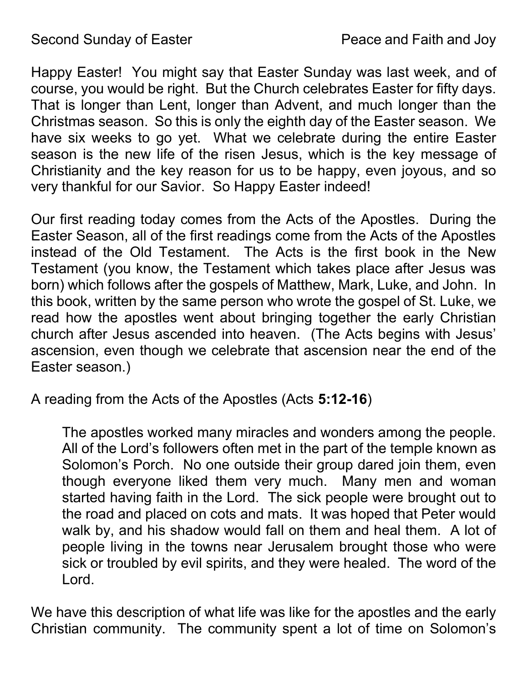Second Sunday of Easter **Peace and Faith and Joy** 

Happy Easter! You might say that Easter Sunday was last week, and of course, you would be right. But the Church celebrates Easter for fifty days. That is longer than Lent, longer than Advent, and much longer than the Christmas season. So this is only the eighth day of the Easter season. We have six weeks to go yet. What we celebrate during the entire Easter season is the new life of the risen Jesus, which is the key message of Christianity and the key reason for us to be happy, even joyous, and so very thankful for our Savior. So Happy Easter indeed!

Our first reading today comes from the Acts of the Apostles. During the Easter Season, all of the first readings come from the Acts of the Apostles instead of the Old Testament. The Acts is the first book in the New Testament (you know, the Testament which takes place after Jesus was born) which follows after the gospels of Matthew, Mark, Luke, and John. In this book, written by the same person who wrote the gospel of St. Luke, we read how the apostles went about bringing together the early Christian church after Jesus ascended into heaven. (The Acts begins with Jesus' ascension, even though we celebrate that ascension near the end of the Easter season.)

A reading from the Acts of the Apostles (Acts 5:12-16)

The apostles worked many miracles and wonders among the people. All of the Lord's followers often met in the part of the temple known as Solomon's Porch. No one outside their group dared join them, even though everyone liked them very much. Many men and woman started having faith in the Lord. The sick people were brought out to the road and placed on cots and mats. It was hoped that Peter would walk by, and his shadow would fall on them and heal them. A lot of people living in the towns near Jerusalem brought those who were sick or troubled by evil spirits, and they were healed. The word of the Lord.

We have this description of what life was like for the apostles and the early Christian community. The community spent a lot of time on Solomon's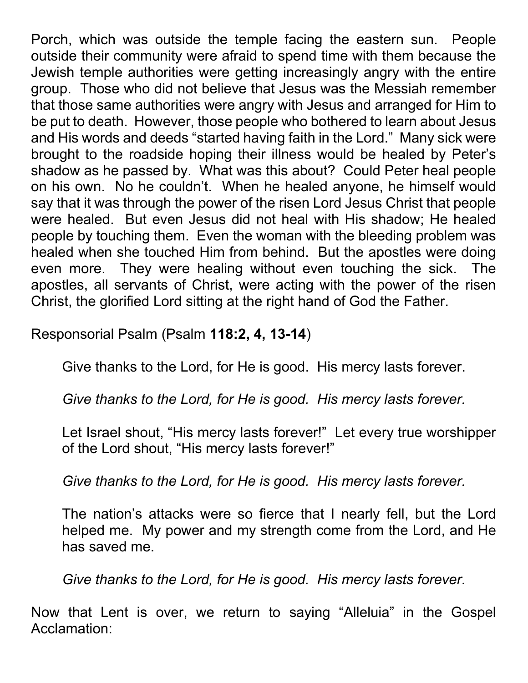Porch, which was outside the temple facing the eastern sun. People outside their community were afraid to spend time with them because the Jewish temple authorities were getting increasingly angry with the entire group. Those who did not believe that Jesus was the Messiah remember that those same authorities were angry with Jesus and arranged for Him to be put to death. However, those people who bothered to learn about Jesus and His words and deeds "started having faith in the Lord." Many sick were brought to the roadside hoping their illness would be healed by Peter's shadow as he passed by. What was this about? Could Peter heal people on his own. No he couldn't. When he healed anyone, he himself would say that it was through the power of the risen Lord Jesus Christ that people were healed. But even Jesus did not heal with His shadow; He healed people by touching them. Even the woman with the bleeding problem was healed when she touched Him from behind. But the apostles were doing even more. They were healing without even touching the sick. The apostles, all servants of Christ, were acting with the power of the risen Christ, the glorified Lord sitting at the right hand of God the Father.

Responsorial Psalm (Psalm 118:2, 4, 13-14)

Give thanks to the Lord, for He is good. His mercy lasts forever.

Give thanks to the Lord, for He is good. His mercy lasts forever.

Let Israel shout, "His mercy lasts forever!" Let every true worshipper of the Lord shout, "His mercy lasts forever!"

Give thanks to the Lord, for He is good. His mercy lasts forever.

The nation's attacks were so fierce that I nearly fell, but the Lord helped me. My power and my strength come from the Lord, and He has saved me.

Give thanks to the Lord, for He is good. His mercy lasts forever.

Now that Lent is over, we return to saying "Alleluia" in the Gospel Acclamation: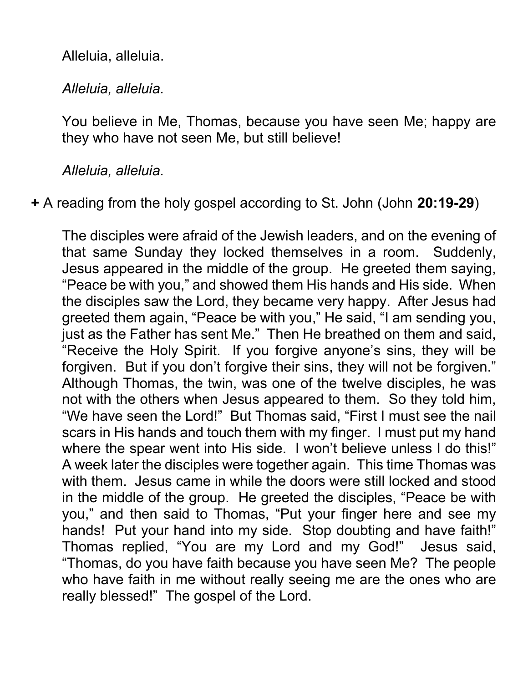Alleluia, alleluia.

Alleluia, alleluia.

You believe in Me, Thomas, because you have seen Me; happy are they who have not seen Me, but still believe!

Alleluia, alleluia.

+ A reading from the holy gospel according to St. John (John 20:19-29)

The disciples were afraid of the Jewish leaders, and on the evening of that same Sunday they locked themselves in a room. Suddenly, Jesus appeared in the middle of the group. He greeted them saying, "Peace be with you," and showed them His hands and His side. When the disciples saw the Lord, they became very happy. After Jesus had greeted them again, "Peace be with you," He said, "I am sending you, just as the Father has sent Me." Then He breathed on them and said, "Receive the Holy Spirit. If you forgive anyone's sins, they will be forgiven. But if you don't forgive their sins, they will not be forgiven." Although Thomas, the twin, was one of the twelve disciples, he was not with the others when Jesus appeared to them. So they told him, "We have seen the Lord!" But Thomas said, "First I must see the nail scars in His hands and touch them with my finger. I must put my hand where the spear went into His side. I won't believe unless I do this!" A week later the disciples were together again. This time Thomas was with them. Jesus came in while the doors were still locked and stood in the middle of the group. He greeted the disciples, "Peace be with you," and then said to Thomas, "Put your finger here and see my hands! Put your hand into my side. Stop doubting and have faith!" Thomas replied, "You are my Lord and my God!" Jesus said, "Thomas, do you have faith because you have seen Me? The people who have faith in me without really seeing me are the ones who are really blessed!" The gospel of the Lord.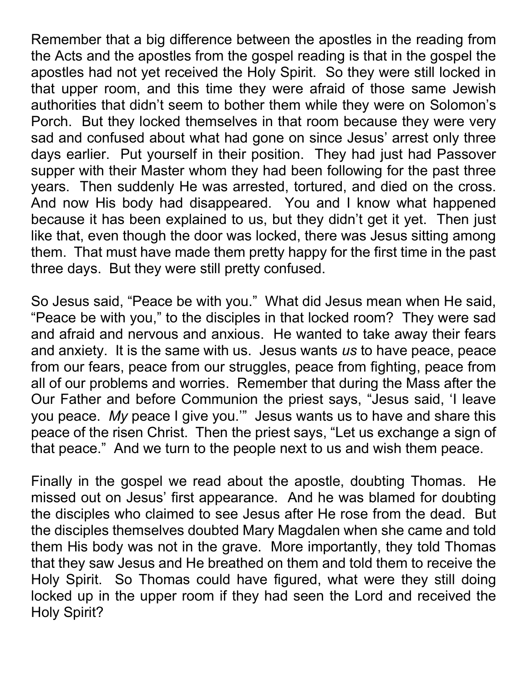Remember that a big difference between the apostles in the reading from the Acts and the apostles from the gospel reading is that in the gospel the apostles had not yet received the Holy Spirit. So they were still locked in that upper room, and this time they were afraid of those same Jewish authorities that didn't seem to bother them while they were on Solomon's Porch. But they locked themselves in that room because they were very sad and confused about what had gone on since Jesus' arrest only three days earlier. Put yourself in their position. They had just had Passover supper with their Master whom they had been following for the past three years. Then suddenly He was arrested, tortured, and died on the cross. And now His body had disappeared. You and I know what happened because it has been explained to us, but they didn't get it yet. Then just like that, even though the door was locked, there was Jesus sitting among them. That must have made them pretty happy for the first time in the past three days. But they were still pretty confused.

So Jesus said, "Peace be with you." What did Jesus mean when He said, "Peace be with you," to the disciples in that locked room? They were sad and afraid and nervous and anxious. He wanted to take away their fears and anxiety. It is the same with us. Jesus wants us to have peace, peace from our fears, peace from our struggles, peace from fighting, peace from all of our problems and worries. Remember that during the Mass after the Our Father and before Communion the priest says, "Jesus said, 'I leave you peace. My peace I give you.'" Jesus wants us to have and share this peace of the risen Christ. Then the priest says, "Let us exchange a sign of that peace." And we turn to the people next to us and wish them peace.

Finally in the gospel we read about the apostle, doubting Thomas. He missed out on Jesus' first appearance. And he was blamed for doubting the disciples who claimed to see Jesus after He rose from the dead. But the disciples themselves doubted Mary Magdalen when she came and told them His body was not in the grave. More importantly, they told Thomas that they saw Jesus and He breathed on them and told them to receive the Holy Spirit. So Thomas could have figured, what were they still doing locked up in the upper room if they had seen the Lord and received the Holy Spirit?